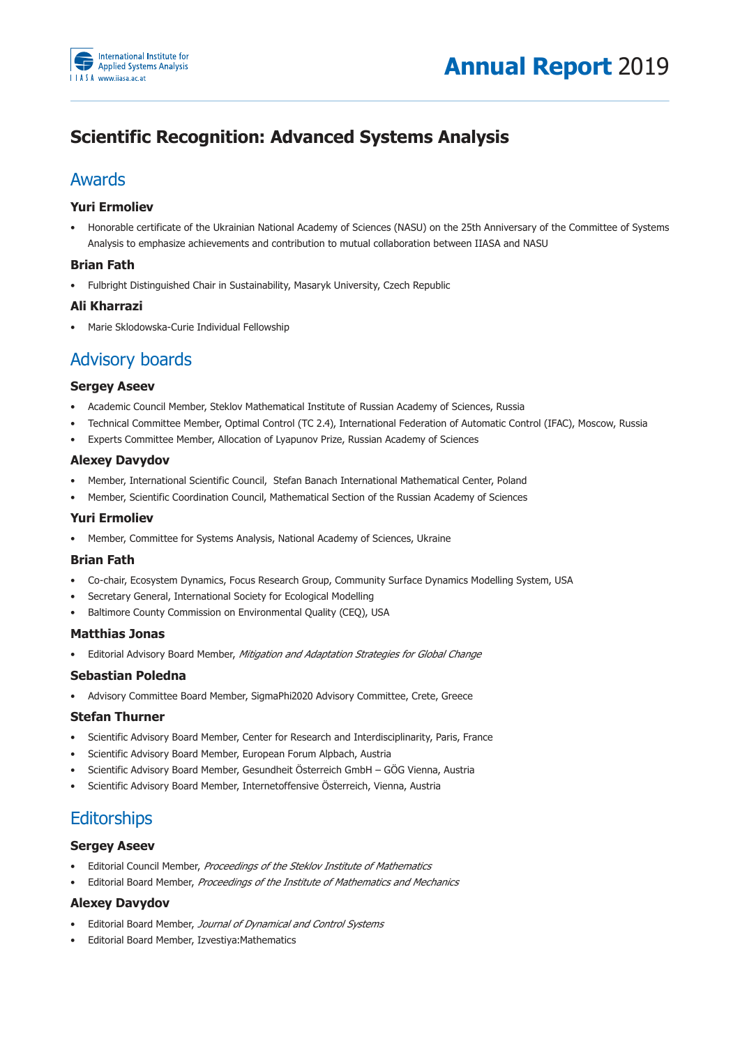

# **Scientific Recognition: Advanced Systems Analysis**

## Awards

## **Yuri Ermoliev**

• Honorable certificate of the Ukrainian National Academy of Sciences (NASU) on the 25th Anniversary of the Committee of Systems Analysis to emphasize achievements and contribution to mutual collaboration between IIASA and NASU

## **Brian Fath**

• Fulbright Distinguished Chair in Sustainability, Masaryk University, Czech Republic

## **Ali Kharrazi**

• Marie Sklodowska-Curie Individual Fellowship

## **Advisory boards**

### **Sergey Aseev**

- Academic Council Member, Steklov Mathematical Institute of Russian Academy of Sciences, Russia
- Technical Committee Member, Optimal Control (TC 2.4), International Federation of Automatic Control (IFAC), Moscow, Russia
- Experts Committee Member, Allocation of Lyapunov Prize, Russian Academy of Sciences

### **Alexey Davydov**

- Member, International Scientific Council, Stefan Banach International Mathematical Center, Poland
- Member, Scientific Coordination Council, Mathematical Section of the Russian Academy of Sciences

### **Yuri Ermoliev**

• Member, Committee for Systems Analysis, National Academy of Sciences, Ukraine

### **Brian Fath**

- Co-chair, Ecosystem Dynamics, Focus Research Group, Community Surface Dynamics Modelling System, USA
- Secretary General, International Society for Ecological Modelling
- Baltimore County Commission on Environmental Quality (CEQ), USA

### **Matthias Jonas**

Editorial Advisory Board Member, *Mitigation and Adaptation Strategies for Global Change* 

### **Sebastian Poledna**

• Advisory Committee Board Member, SigmaPhi2020 Advisory Committee, Crete, Greece

### **Stefan Thurner**

- Scientific Advisory Board Member, Center for Research and Interdisciplinarity, Paris, France
- Scientific Advisory Board Member, European Forum Alpbach, Austria
- Scientific Advisory Board Member, Gesundheit Österreich GmbH GÖG Vienna, Austria
- Scientific Advisory Board Member, Internetoffensive Österreich, Vienna, Austria

# **Editorships**

### **Sergey Aseev**

- Editorial Council Member, Proceedings of the Steklov Institute of Mathematics
- **Editorial Board Member, Proceedings of the Institute of Mathematics and Mechanics**

## **Alexey Davydov**

- Editorial Board Member, *Journal of Dynamical and Control Systems*
- Editorial Board Member, Izvestiya: Mathematics